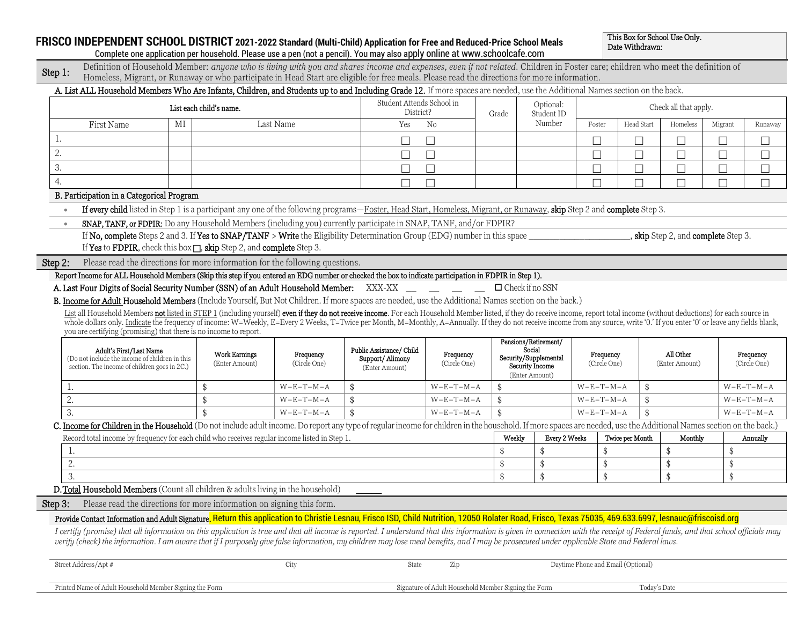## **FRISCO INDEPENDENT SCHOOL DISTRICT 2021-2022 Standard (Multi-Child) Application for Free and Reduced-Price School Meals**

Ī

This Box for School Use Only. Date Withdrawn:

| Complete one application per household. Please use a pen (not a pencil). You may also apply online at www.schoolcafe.com |
|--------------------------------------------------------------------------------------------------------------------------|
|--------------------------------------------------------------------------------------------------------------------------|

| Step 1 | Definition of Household Member: anyone who is living with you and shares income and expenses, even if not related. Children in Foster care; children who meet the definition of |
|--------|---------------------------------------------------------------------------------------------------------------------------------------------------------------------------------|
|        | Homeless, Migrant, or Runaway or who participate in Head Start are eligible for free meals. Please read the directions for more information.                                    |
|        | A. List ALL Household Members Who Are Infants, Children, and Students up to and Including Grade 12. If more spaces are needed, use the Additional Names section on the back.    |

|         |                                                                                                                                                                                                                                                                                                                                                                                                                                                                                                                                                                                                                                         | List each child's name.                |                           | Student Attends School in<br>District?                        |                           | Grade            | Optional:<br>Student ID                                                           |                           |                 | Check all that apply.               |         |                           |
|---------|-----------------------------------------------------------------------------------------------------------------------------------------------------------------------------------------------------------------------------------------------------------------------------------------------------------------------------------------------------------------------------------------------------------------------------------------------------------------------------------------------------------------------------------------------------------------------------------------------------------------------------------------|----------------------------------------|---------------------------|---------------------------------------------------------------|---------------------------|------------------|-----------------------------------------------------------------------------------|---------------------------|-----------------|-------------------------------------|---------|---------------------------|
|         | First Name                                                                                                                                                                                                                                                                                                                                                                                                                                                                                                                                                                                                                              | MI                                     | Last Name                 | Yes                                                           | No                        |                  | Number                                                                            | Foster                    | Head Start      | Homeless                            | Migrant | Runaway                   |
| l.      |                                                                                                                                                                                                                                                                                                                                                                                                                                                                                                                                                                                                                                         |                                        |                           |                                                               |                           |                  |                                                                                   |                           |                 | П                                   |         |                           |
| 2.      |                                                                                                                                                                                                                                                                                                                                                                                                                                                                                                                                                                                                                                         |                                        |                           |                                                               | Г                         |                  |                                                                                   |                           | $\Box$          | П                                   |         |                           |
| 3.      |                                                                                                                                                                                                                                                                                                                                                                                                                                                                                                                                                                                                                                         |                                        |                           |                                                               |                           |                  |                                                                                   | П                         | $\Box$          | П                                   |         |                           |
| 4.      |                                                                                                                                                                                                                                                                                                                                                                                                                                                                                                                                                                                                                                         |                                        |                           |                                                               |                           |                  |                                                                                   |                           | $\Box$          | П                                   |         |                           |
|         | B. Participation in a Categorical Program                                                                                                                                                                                                                                                                                                                                                                                                                                                                                                                                                                                               |                                        |                           |                                                               |                           |                  |                                                                                   |                           |                 |                                     |         |                           |
|         | If every child listed in Step 1 is a participant any one of the following programs—Foster, Head Start, Homeless, Migrant, or Runaway, skip Step 2 and complete Step 3.<br>$\bullet$                                                                                                                                                                                                                                                                                                                                                                                                                                                     |                                        |                           |                                                               |                           |                  |                                                                                   |                           |                 |                                     |         |                           |
|         | SNAP, TANF, or FDPIR: Do any Household Members (including you) currently participate in SNAP, TANF, and/or FDPIR?<br>$\bullet$                                                                                                                                                                                                                                                                                                                                                                                                                                                                                                          |                                        |                           |                                                               |                           |                  |                                                                                   |                           |                 |                                     |         |                           |
|         | If No, complete Steps 2 and 3. If Yes to SNAP/TANF > Write the Eligibility Determination Group (EDG) number in this space                                                                                                                                                                                                                                                                                                                                                                                                                                                                                                               |                                        |                           |                                                               |                           |                  |                                                                                   |                           |                 | , skip Step 2, and complete Step 3. |         |                           |
|         | If Yes to FDPIR, check this box $\Box$ , skip Step 2, and complete Step 3.                                                                                                                                                                                                                                                                                                                                                                                                                                                                                                                                                              |                                        |                           |                                                               |                           |                  |                                                                                   |                           |                 |                                     |         |                           |
| Step 2: | Please read the directions for more information for the following questions.                                                                                                                                                                                                                                                                                                                                                                                                                                                                                                                                                            |                                        |                           |                                                               |                           |                  |                                                                                   |                           |                 |                                     |         |                           |
|         | Report Income for ALL Household Members (Skip this step if you entered an EDG number or checked the box to indicate participation in FDPIR in Step 1).                                                                                                                                                                                                                                                                                                                                                                                                                                                                                  |                                        |                           |                                                               |                           |                  |                                                                                   |                           |                 |                                     |         |                           |
|         | A. Last Four Digits of Social Security Number (SSN) of an Adult Household Member: XXX-XX __ _ _ _ _                                                                                                                                                                                                                                                                                                                                                                                                                                                                                                                                     |                                        |                           |                                                               |                           |                  | $\Box$ Check if no SSN                                                            |                           |                 |                                     |         |                           |
|         | B. Income for Adult Household Members (Include Yourself, But Not Children. If more spaces are needed, use the Additional Names section on the back.)                                                                                                                                                                                                                                                                                                                                                                                                                                                                                    |                                        |                           |                                                               |                           |                  |                                                                                   |                           |                 |                                     |         |                           |
|         | List all Household Members not listed in STEP 1 (including yourself) even if they do not receive income. For each Household Member listed, if they do receive income, report total income (without deductions) for each source                                                                                                                                                                                                                                                                                                                                                                                                          |                                        |                           |                                                               |                           |                  |                                                                                   |                           |                 |                                     |         |                           |
|         | whole dollars only. Indicate the frequency of income: W=Weekly, E=Every 2 Weeks, T=Twice per Month, M=Monthly, A=Annually. If they do not receive income from any source, write '0.' If you enter '0' or leave any fields blan<br>you are certifying (promising) that there is no income to report.                                                                                                                                                                                                                                                                                                                                     |                                        |                           |                                                               |                           |                  |                                                                                   |                           |                 |                                     |         |                           |
|         | Adult's First/Last Name<br>(Do not include the income of children in this<br>section. The income of children goes in 2C.)                                                                                                                                                                                                                                                                                                                                                                                                                                                                                                               | <b>Work Earnings</b><br>(Enter Amount) | Frequency<br>(Circle One) | Public Assistance/ Child<br>Support/Alimony<br>(Enter Amount) | Frequency<br>(Circle One) |                  | Pensions/Retirement/<br>Social<br>Security/Supplemental<br><b>Security Income</b> | Frequency<br>(Circle One) |                 | All Other<br>(Enter Amount)         |         | Frequency<br>(Circle One) |
|         |                                                                                                                                                                                                                                                                                                                                                                                                                                                                                                                                                                                                                                         |                                        |                           |                                                               |                           |                  | (Enter Amount)                                                                    |                           |                 |                                     |         |                           |
|         | 1.                                                                                                                                                                                                                                                                                                                                                                                                                                                                                                                                                                                                                                      | \$                                     | $W-E-T-M-A$               | \$                                                            | $W-E-T-M-A$               | \$               |                                                                                   | $W-E-T-M-A$               | \$              |                                     |         | $W-E-T-M-A$               |
|         | 2.                                                                                                                                                                                                                                                                                                                                                                                                                                                                                                                                                                                                                                      | \$                                     | $W-E-T-M-A$               |                                                               | $W-E-T-M-A$               | \$<br>$\ddot{s}$ |                                                                                   | $W-E-T-M-A$               | \$              |                                     |         | $W-E-T-M-A$               |
|         | 3.                                                                                                                                                                                                                                                                                                                                                                                                                                                                                                                                                                                                                                      | \$                                     | $W-E-T-M-A$               |                                                               | $W-E-T-M-A$               |                  |                                                                                   | $W-E-T-M-A$               | \$              |                                     |         | $W-E-T-M-A$               |
|         | C. Income for Children in the Household (Do not include adult income. Do report any type of regular income for children in the household. If more spaces are needed, use the Additional Names section on the back.)<br>Record total income by frequency for each child who receives regular income listed in Step 1.                                                                                                                                                                                                                                                                                                                    |                                        |                           |                                                               |                           | Weekly           | <b>Every 2 Weeks</b>                                                              |                           | Twice per Month | Monthly                             |         | Annually                  |
|         | 1.                                                                                                                                                                                                                                                                                                                                                                                                                                                                                                                                                                                                                                      |                                        |                           |                                                               |                           |                  | \$                                                                                | \$                        |                 | \$                                  | \$      |                           |
|         | 2.                                                                                                                                                                                                                                                                                                                                                                                                                                                                                                                                                                                                                                      |                                        |                           |                                                               |                           | \$               | \$                                                                                | \$                        |                 | \$                                  | \$      |                           |
|         | 3.                                                                                                                                                                                                                                                                                                                                                                                                                                                                                                                                                                                                                                      |                                        |                           |                                                               |                           | \$               | \$                                                                                | \$                        |                 | \$                                  | \$      |                           |
|         | D. Total Household Members (Count all children & adults living in the household)                                                                                                                                                                                                                                                                                                                                                                                                                                                                                                                                                        |                                        |                           |                                                               |                           |                  |                                                                                   |                           |                 |                                     |         |                           |
|         | Please read the directions for more information on signing this form.                                                                                                                                                                                                                                                                                                                                                                                                                                                                                                                                                                   |                                        |                           |                                                               |                           |                  |                                                                                   |                           |                 |                                     |         |                           |
| Step 3: |                                                                                                                                                                                                                                                                                                                                                                                                                                                                                                                                                                                                                                         |                                        |                           |                                                               |                           |                  |                                                                                   |                           |                 |                                     |         |                           |
|         | Provide Contact Information and Adult Signature. Return this application to Christie Lesnau, Frisco ISD, Child Nutrition, 12050 Rolater Road, Frisco, Texas 75035, 469.633.6997, lesnauc@friscoisd.org<br>I certify (promise) that all information on this application is true and that all income is reported. I understand that this information is given in connection with the receipt of Federal funds, and that school officials m<br>verify (check) the information. I am aware that if I purposely give false information, my children may lose meal benefits, and I may be prosecuted under applicable State and Federal laws. |                                        |                           |                                                               |                           |                  |                                                                                   |                           |                 |                                     |         |                           |

| Street Address/Apt #                                    | State |                                                      | Daytime Phone and Email (Optional) |              |
|---------------------------------------------------------|-------|------------------------------------------------------|------------------------------------|--------------|
|                                                         |       |                                                      |                                    |              |
| Printed Name of Adult Household Member Signing the Form |       | Signature of Adult Household Member Signing the Form |                                    | Todav's Date |